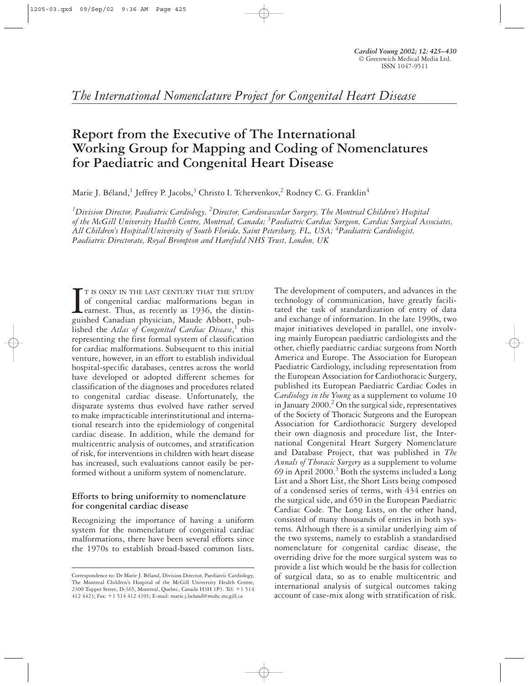*The International Nomenclature Project for Congenital Heart Disease*

# **Report from the Executive of The International Working Group for Mapping and Coding of Nomenclatures for Paediatric and Congenital Heart Disease**

Marie J. Béland,<sup>1</sup> Jeffrey P. Jacobs,<sup>3</sup> Christo I. Tchervenkov,<sup>2</sup> Rodney C. G. Franklin<sup>4</sup>

*1 Division Director, Paediatric Cardiology, <sup>2</sup> Director, Cardiovascular Surgery, The Montreal Children's Hospital of the McGill University Health Centre, Montreal, Canada; 3 Paediatric Cardiac Surgeon, Cardiac Surgical Associates, All Children's Hospital/University of South Florida, Saint Petersburg, FL, USA; 4 Paediatric Cardiologist, Paediatric Directorate, Royal Brompton and Harefield NHS Trust, London, UK*

T IS ONLY IN THE LAST CENTURY THAT THE STUDY<br>of congenital cardiac malformations began in<br>earnest. Thus, as recently as 1936, the distinguished Canadian physician, Maude Abbott, pub-T IS ONLY IN THE LAST CENTURY THAT THE STUDY of congenital cardiac malformations began in earnest. Thus, as recently as 1936, the distinlished the *Atlas of Congenital Cardiac Disease*,<sup>1</sup> this representing the first formal system of classification for cardiac malformations. Subsequent to this initial venture, however, in an effort to establish individual hospital-specific databases, centres across the world have developed or adopted different schemes for classification of the diagnoses and procedures related to congenital cardiac disease. Unfortunately, the disparate systems thus evolved have rather served to make impracticable interinstitutional and international research into the epidemiology of congenital cardiac disease. In addition, while the demand for multicentric analysis of outcomes, and stratification of risk, for interventions in children with heart disease has increased, such evaluations cannot easily be performed without a uniform system of nomenclature.

# **Efforts to bring uniformity to nomenclature for congenital cardiac disease**

Recognizing the importance of having a uniform system for the nomenclature of congenital cardiac malformations, there have been several efforts since the 1970s to establish broad-based common lists**.**

The development of computers, and advances in the technology of communication, have greatly facilitated the task of standardization of entry of data and exchange of information. In the late 1990s, two major initiatives developed in parallel, one involving mainly European paediatric cardiologists and the other, chiefly paediatric cardiac surgeons from North America and Europe. The Association for European Paediatric Cardiology, including representation from the European Association for Cardiothoracic Surgery, published its European Paediatric Cardiac Codes in *Cardiology in the Young* as a supplement to volume 10 in January 2000.<sup>2</sup> On the surgical side, representatives of the Society of Thoracic Surgeons and the European Association for Cardiothoracic Surgery developed their own diagnosis and procedure list, the International Congenital Heart Surgery Nomenclature and Database Project, that was published in *The Annals of Thoracic Surgery* as a supplement to volume 69 in April 2000.<sup>3</sup> Both the systems included a Long List and a Short List, the Short Lists being composed of a condensed series of terms, with 434 entries on the surgical side, and 650 in the European Paediatric Cardiac Code. The Long Lists, on the other hand, consisted of many thousands of entries in both systems. Although there is a similar underlying aim of the two systems, namely to establish a standardised nomenclature for congenital cardiac disease, the overriding drive for the more surgical system was to provide a list which would be the basis for collection of surgical data, so as to enable multicentric and international analysis of surgical outcomes taking account of case-mix along with stratification of risk.

Correspondence to: Dr Marie J. Béland, Division Director, Paediatric Cardiology, The Montreal Children's Hospital of the McGill University Health Centre, 2300 Tupper Street, D-365, Montreal, Quebec, Canada H3H 1P3. Tel: +1 514 412 4423; Fax: 1 514 412 4391; E-mail: marie.j.beland@muhc.mcgill.ca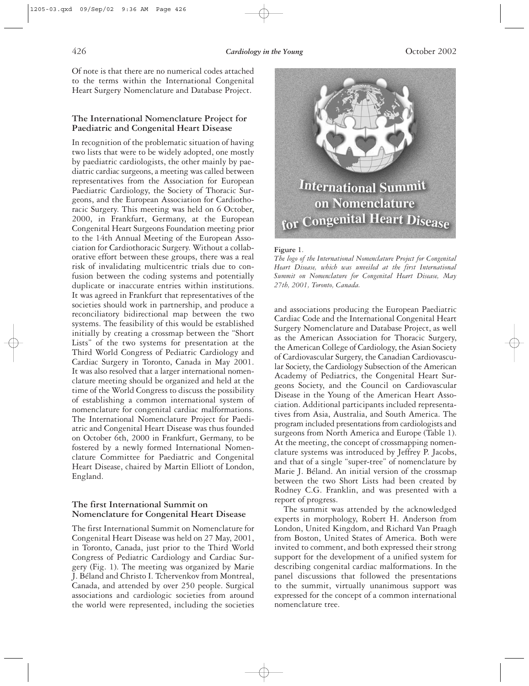### 426 *Cardiology in the Young* October 2002

Of note is that there are no numerical codes attached to the terms within the International Congenital Heart Surgery Nomenclature and Database Project.

### **The International Nomenclature Project for Paediatric and Congenital Heart Disease**

In recognition of the problematic situation of having two lists that were to be widely adopted, one mostly by paediatric cardiologists, the other mainly by paediatric cardiac surgeons, a meeting was called between representatives from the Association for European Paediatric Cardiology, the Society of Thoracic Surgeons, and the European Association for Cardiothoracic Surgery. This meeting was held on 6 October, 2000, in Frankfurt, Germany, at the European Congenital Heart Surgeons Foundation meeting prior to the 14th Annual Meeting of the European Association for Cardiothoracic Surgery. Without a collaborative effort between these groups, there was a real risk of invalidating multicentric trials due to confusion between the coding systems and potentially duplicate or inaccurate entries within institutions. It was agreed in Frankfurt that representatives of the societies should work in partnership, and produce a reconciliatory bidirectional map between the two systems. The feasibility of this would be established initially by creating a crossmap between the "Short Lists" of the two systems for presentation at the Third World Congress of Pediatric Cardiology and Cardiac Surgery in Toronto, Canada in May 2001. It was also resolved that a larger international nomenclature meeting should be organized and held at the time of the World Congress to discuss the possibility of establishing a common international system of nomenclature for congenital cardiac malformations. The International Nomenclature Project for Paediatric and Congenital Heart Disease was thus founded on October 6th, 2000 in Frankfurt, Germany, to be fostered by a newly formed International Nomenclature Committee for Paediatric and Congenital Heart Disease, chaired by Martin Elliott of London, England.

# **The first International Summit on Nomenclature for Congenital Heart Disease**

The first International Summit on Nomenclature for Congenital Heart Disease was held on 27 May, 2001, in Toronto, Canada, just prior to the Third World Congress of Pediatric Cardiology and Cardiac Surgery (Fig. 1). The meeting was organized by Marie J. Béland and Christo I. Tchervenkov from Montreal, Canada, and attended by over 250 people. Surgical associations and cardiologic societies from around the world were represented, including the societies



#### **Figure 1**.

*The logo of the International Nomenclature Project for Congenital Heart Disease, which was unveiled at the first International Summit on Nomenclature for Congenital Heart Disease, May 27th, 2001, Toronto, Canada.*

and associations producing the European Paediatric Cardiac Code and the International Congenital Heart Surgery Nomenclature and Database Project, as well as the American Association for Thoracic Surgery, the American College of Cardiology, the Asian Society of Cardiovascular Surgery, the Canadian Cardiovascular Society, the Cardiology Subsection of the American Academy of Pediatrics, the Congenital Heart Surgeons Society, and the Council on Cardiovascular Disease in the Young of the American Heart Association. Additional participants included representatives from Asia, Australia, and South America. The program included presentations from cardiologists and surgeons from North America and Europe (Table 1). At the meeting, the concept of crossmapping nomenclature systems was introduced by Jeffrey P. Jacobs, and that of a single "super-tree" of nomenclature by Marie J. Béland. An initial version of the crossmap between the two Short Lists had been created by Rodney C.G. Franklin, and was presented with a report of progress.

The summit was attended by the acknowledged experts in morphology, Robert H. Anderson from London, United Kingdom, and Richard Van Praagh from Boston, United States of America. Both were invited to comment, and both expressed their strong support for the development of a unified system for describing congenital cardiac malformations. In the panel discussions that followed the presentations to the summit, virtually unanimous support was expressed for the concept of a common international nomenclature tree.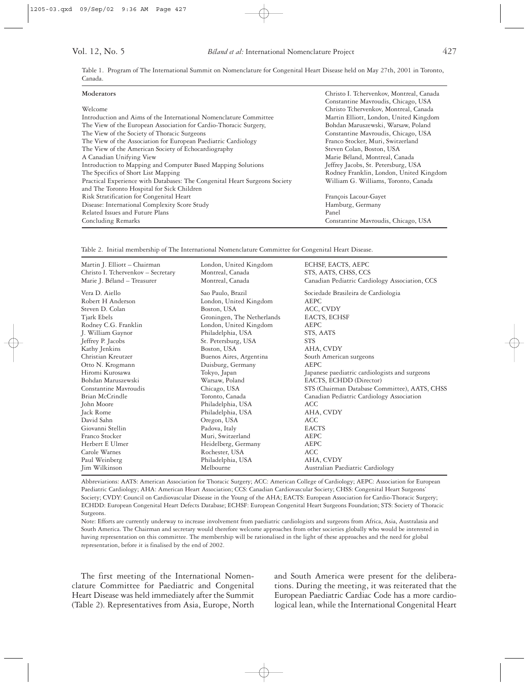Table 1. Program of The International Summit on Nomenclature for Congenital Heart Disease held on May 27th, 2001 in Toronto, Canada.

#### **Moderators** Christo I. Tchervenkov, Montreal, Canada

|                                                                            | Constantine Mavroudis, Chicago, USA     |
|----------------------------------------------------------------------------|-----------------------------------------|
| Welcome                                                                    | Christo Tchervenkov, Montreal, Canada   |
| Introduction and Aims of the International Nomenclature Committee          | Martin Elliott, London, United Kingdom  |
| The View of the European Association for Cardio-Thoracic Surgery,          | Bohdan Maruszewski, Warsaw, Poland      |
| The View of the Society of Thoracic Surgeons                               | Constantine Mavroudis, Chicago, USA     |
| The View of the Association for European Paediatric Cardiology             | Franco Stocker, Muri, Switzerland       |
| The View of the American Society of Echocardiography                       | Steven Colan, Boston, USA               |
| A Canadian Unifying View                                                   | Marie Béland, Montreal, Canada          |
| Introduction to Mapping and Computer Based Mapping Solutions               | Jeffrey Jacobs, St. Petersburg, USA     |
| The Specifics of Short List Mapping                                        | Rodney Franklin, London, United Kingdom |
| Practical Experience with Databases: The Congenital Heart Surgeons Society | William G. Williams, Toronto, Canada    |
| and The Toronto Hospital for Sick Children                                 |                                         |
| Risk Stratification for Congenital Heart                                   | François Lacour-Gayet                   |
| Disease: International Complexity Score Study                              | Hamburg, Germany                        |
| Related Issues and Future Plans                                            | Panel                                   |
| <b>Concluding Remarks</b>                                                  | Constantine Mavroudis, Chicago, USA     |

Table 2. Initial membership of The International Nomenclature Committee for Congenital Heart Disease.

| Martin J. Elliott - Chairman<br>Christo I. Tchervenkov - Secretary | London, United Kingdom<br>Montreal, Canada | ECHSF, EACTS, AEPC<br>STS, AATS, CHSS, CCS     |
|--------------------------------------------------------------------|--------------------------------------------|------------------------------------------------|
| Marie J. Béland - Treasurer                                        | Montreal, Canada                           | Canadian Pediatric Cardiology Association, CCS |
|                                                                    |                                            |                                                |
| Vera D. Aiello                                                     | Sao Paulo, Brazil                          | Sociedade Brasileira de Cardiologia            |
| Robert H Anderson                                                  | London, United Kingdom                     | <b>AEPC</b>                                    |
| Steven D. Colan                                                    | Boston, USA                                | ACC, CVDY                                      |
| Tjark Ebels                                                        | Groningen, The Netherlands                 | <b>EACTS, ECHSF</b>                            |
| Rodney C.G. Franklin                                               | London, United Kingdom                     | <b>AEPC</b>                                    |
| J. William Gaynor                                                  | Philadelphia, USA                          | STS, AATS                                      |
| Jeffrey P. Jacobs                                                  | St. Petersburg, USA                        | <b>STS</b>                                     |
| Kathy Jenkins                                                      | Boston, USA                                | AHA, CVDY                                      |
| Christian Kreutzer                                                 | Buenos Aires, Argentina                    | South American surgeons                        |
| Otto N. Krogmann                                                   | Duisburg, Germany                          | <b>AEPC</b>                                    |
| Hiromi Kurosawa                                                    | Tokyo, Japan                               | Japanese paediatric cardiologists and surgeons |
| Bohdan Maruszewski                                                 | Warsaw, Poland                             | EACTS, ECHDD (Director)                        |
| Constantine Mavroudis                                              | Chicago, USA                               | STS (Chairman Database Committee), AATS, CHSS  |
| Brian McCrindle                                                    | Toronto, Canada                            | Canadian Pediatric Cardiology Association      |
| John Moore                                                         | Philadelphia, USA                          | <b>ACC</b>                                     |
| Jack Rome                                                          | Philadelphia, USA                          | AHA, CVDY                                      |
| David Sahn                                                         | Oregon, USA                                | ACC.                                           |
| Giovanni Stellin                                                   | Padova, Italy                              | <b>EACTS</b>                                   |
| Franco Stocker                                                     | Muri, Switzerland                          | <b>AEPC</b>                                    |
| Herbert E Ulmer                                                    | Heidelberg, Germany                        | AEPC                                           |
| Carole Warnes                                                      | Rochester, USA                             | ACC.                                           |
| Paul Weinberg                                                      | Philadelphia, USA                          | AHA, CVDY                                      |
| Jim Wilkinson                                                      | Melbourne                                  | Australian Paediatric Cardiology               |

Abbreviations: AATS: American Association for Thoracic Surgery; ACC: American College of Cardiology; AEPC: Association for European Paediatric Cardiology; AHA: American Heart Association; CCS: Canadian Cardiovascular Society; CHSS: Congenital Heart Surgeons' Society; CVDY: Council on Cardiovascular Disease in the Young of the AHA; EACTS: European Association for Cardio-Thoracic Surgery; ECHDD: European Congenital Heart Defects Database; ECHSF: European Congenital Heart Surgeons Foundation; STS: Society of Thoracic Surgeons.

Note: Efforts are currently underway to increase involvement from paediatric cardiologists and surgeons from Africa, Asia, Australasia and South America. The Chairman and secretary would therefore welcome approaches from other societies globally who would be interested in having representation on this committee. The membership will be rationalised in the light of these approaches and the need for global representation, before it is finalised by the end of 2002.

The first meeting of the International Nomenclature Committee for Paediatric and Congenital Heart Disease was held immediately after the Summit (Table 2). Representatives from Asia, Europe, North

and South America were present for the deliberations. During the meeting, it was reiterated that the European Paediatric Cardiac Code has a more cardiological lean, while the International Congenital Heart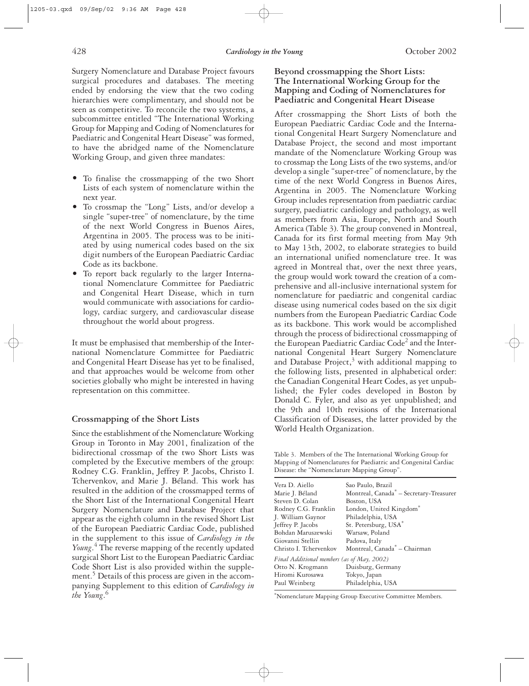Surgery Nomenclature and Database Project favours surgical procedures and databases. The meeting ended by endorsing the view that the two coding hierarchies were complimentary, and should not be seen as competitive. To reconcile the two systems, a subcommittee entitled "The International Working Group for Mapping and Coding of Nomenclatures for Paediatric and Congenital Heart Disease" was formed, to have the abridged name of the Nomenclature Working Group, and given three mandates:

- To finalise the crossmapping of the two Short Lists of each system of nomenclature within the next year.
- To crossmap the "Long" Lists, and/or develop a single "super-tree" of nomenclature, by the time of the next World Congress in Buenos Aires, Argentina in 2005. The process was to be initiated by using numerical codes based on the six digit numbers of the European Paediatric Cardiac Code as its backbone.
- To report back regularly to the larger International Nomenclature Committee for Paediatric and Congenital Heart Disease, which in turn would communicate with associations for cardiology, cardiac surgery, and cardiovascular disease throughout the world about progress.

It must be emphasised that membership of the International Nomenclature Committee for Paediatric and Congenital Heart Disease has yet to be finalised, and that approaches would be welcome from other societies globally who might be interested in having representation on this committee.

### **Crossmapping of the Short Lists**

Since the establishment of the Nomenclature Working Group in Toronto in May 2001, finalization of the bidirectional crossmap of the two Short Lists was completed by the Executive members of the group: Rodney C.G. Franklin, Jeffrey P. Jacobs, Christo I. Tchervenkov, and Marie J. Béland. This work has resulted in the addition of the crossmapped terms of the Short List of the International Congenital Heart Surgery Nomenclature and Database Project that appear as the eighth column in the revised Short List of the European Paediatric Cardiac Code, published in the supplement to this issue of *Cardiology in the Young*. <sup>4</sup> The reverse mapping of the recently updated surgical Short List to the European Paediatric Cardiac Code Short List is also provided within the supplement.<sup>5</sup> Details of this process are given in the accompanying Supplement to this edition of *Cardiology in the Young*. 6

# **Beyond crossmapping the Short Lists: The International Working Group for the Mapping and Coding of Nomenclatures for Paediatric and Congenital Heart Disease**

After crossmapping the Short Lists of both the European Paediatric Cardiac Code and the International Congenital Heart Surgery Nomenclature and Database Project, the second and most important mandate of the Nomenclature Working Group was to crossmap the Long Lists of the two systems, and/or develop a single "super-tree" of nomenclature, by the time of the next World Congress in Buenos Aires, Argentina in 2005. The Nomenclature Working Group includes representation from paediatric cardiac surgery, paediatric cardiology and pathology, as well as members from Asia, Europe, North and South America (Table 3). The group convened in Montreal, Canada for its first formal meeting from May 9th to May 13th, 2002, to elaborate strategies to build an international unified nomenclature tree. It was agreed in Montreal that, over the next three years, the group would work toward the creation of a comprehensive and all-inclusive international system for nomenclature for paediatric and congenital cardiac disease using numerical codes based on the six digit numbers from the European Paediatric Cardiac Code as its backbone. This work would be accomplished through the process of bidirectional crossmapping of the European Paediatric Cardiac Code<sup>2</sup> and the International Congenital Heart Surgery Nomenclature and Database Project, $3$  with additional mapping to the following lists, presented in alphabetical order: the Canadian Congenital Heart Codes, as yet unpublished; the Fyler codes developed in Boston by Donald C. Fyler, and also as yet unpublished; and the 9th and 10th revisions of the International Classification of Diseases, the latter provided by the World Health Organization.

Table 3. Members of the The International Working Group for Mapping of Nomenclatures for Paediatric and Congenital Cardiac Disease: the "Nomenclature Mapping Group".

| Vera D. Aiello                             | Sao Paulo, Brazil                       |
|--------------------------------------------|-----------------------------------------|
| Marie J. Béland                            | Montreal, Canada* - Secretary-Treasurer |
| Steven D. Colan                            | Boston, USA                             |
| Rodney C.G. Franklin                       | London, United Kingdom*                 |
| J. William Gaynor                          | Philadelphia, USA                       |
| Jeffrey P. Jacobs                          | St. Petersburg, USA*                    |
| Bohdan Maruszewski                         | Warsaw, Poland                          |
| Giovanni Stellin                           | Padova, Italy                           |
| Christo I. Tchervenkov                     | Montreal, Canada* - Chairman            |
| Final Additional members (as of May, 2002) |                                         |
| Otto N. Krogmann                           | Duisburg, Germany                       |
| Hiromi Kurosawa                            | Tokyo, Japan                            |
| Paul Weinberg                              | Philadelphia, USA                       |
|                                            |                                         |

\* Nomenclature Mapping Group Executive Committee Members.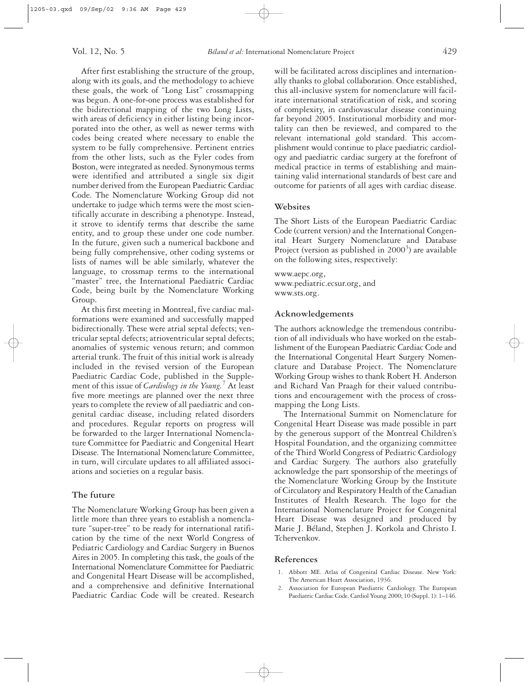After first establishing the structure of the group, along with its goals, and the methodology to achieve these goals, the work of "Long List" crossmapping was begun. A one-for-one process was established for the bidirectional mapping of the two Long Lists, with areas of deficiency in either listing being incorporated into the other, as well as newer terms with codes being created where necessary to enable the system to be fully comprehensive. Pertinent entries from the other lists, such as the Fyler codes from Boston, were integrated as needed. Synonymous terms were identified and attributed a single six digit number derived from the European Paediatric Cardiac Code. The Nomenclature Working Group did not undertake to judge which terms were the most scientifically accurate in describing a phenotype. Instead, it strove to identify terms that describe the same entity, and to group these under one code number. In the future, given such a numerical backbone and being fully comprehensive, other coding systems or lists of names will be able similarly, whatever the language, to crossmap terms to the international "master" tree, the International Paediatric Cardiac Code, being built by the Nomenclature Working Group.

At this first meeting in Montreal, five cardiac malformations were examined and successfully mapped bidirectionally. These were atrial septal defects; ventricular septal defects; atrioventricular septal defects; anomalies of systemic venous return; and common arterial trunk. The fruit of this initial work is already included in the revised version of the European Paediatric Cardiac Code, published in the Supplement of this issue of *Cardiology in the Young.*<sup>7</sup> At least five more meetings are planned over the next three years to complete the review of all paediatric and congenital cardiac disease, including related disorders and procedures. Regular reports on progress will be forwarded to the larger International Nomenclature Committee for Paediatric and Congenital Heart Disease. The International Nomenclature Committee, in turn, will circulate updates to all affiliated associations and societies on a regular basis.

#### **The future**

The Nomenclature Working Group has been given a little more than three years to establish a nomenclature "super-tree" to be ready for international ratification by the time of the next World Congress of Pediatric Cardiology and Cardiac Surgery in Buenos Aires in 2005. In completing this task, the goals of the International Nomenclature Committee for Paediatric and Congenital Heart Disease will be accomplished, and a comprehensive and definitive International Paediatric Cardiac Code will be created. Research

will be facilitated across disciplines and internationally thanks to global collaboration. Once established, this all-inclusive system for nomenclature will facilitate international stratification of risk, and scoring of complexity, in cardiovascular disease continuing far beyond 2005. Institutional morbidity and mortality can then be reviewed, and compared to the relevant international gold standard. This accomplishment would continue to place paediatric cardiology and paediatric cardiac surgery at the forefront of medical practice in terms of establishing and maintaining valid international standards of best care and outcome for patients of all ages with cardiac disease.

### **Websites**

The Short Lists of the European Paediatric Cardiac Code (current version) and the International Congenital Heart Surgery Nomenclature and Database Project (version as published in 2000<sup>3</sup>) are available on the following sites, respectively:

www.aepc.org, www.pediatric.ecsur.org, and www.sts.org.

#### **Acknowledgements**

The authors acknowledge the tremendous contribution of all individuals who have worked on the establishment of the European Paediatric Cardiac Code and the International Congenital Heart Surgery Nomenclature and Database Project. The Nomenclature Working Group wishes to thank Robert H. Anderson and Richard Van Praagh for their valued contributions and encouragement with the process of crossmapping the Long Lists.

The International Summit on Nomenclature for Congenital Heart Disease was made possible in part by the generous support of the Montreal Children's Hospital Foundation, and the organizing committee of the Third World Congress of Pediatric Cardiology and Cardiac Surgery. The authors also gratefully acknowledge the part sponsorship of the meetings of the Nomenclature Working Group by the Institute of Circulatory and Respiratory Health of the Canadian Institutes of Health Research. The logo for the International Nomenclature Project for Congenital Heart Disease was designed and produced by Marie J. Béland, Stephen J. Korkola and Christo I. Tchervenkov.

#### **References**

- 1. Abbott ME. Atlas of Congenital Cardiac Disease. New York: The American Heart Association, 1936.
- 2. Association for European Paediatric Cardiology. The European Paediatric Cardiac Code. Cardiol Young 2000; 10 (Suppl. 1): 1–146.